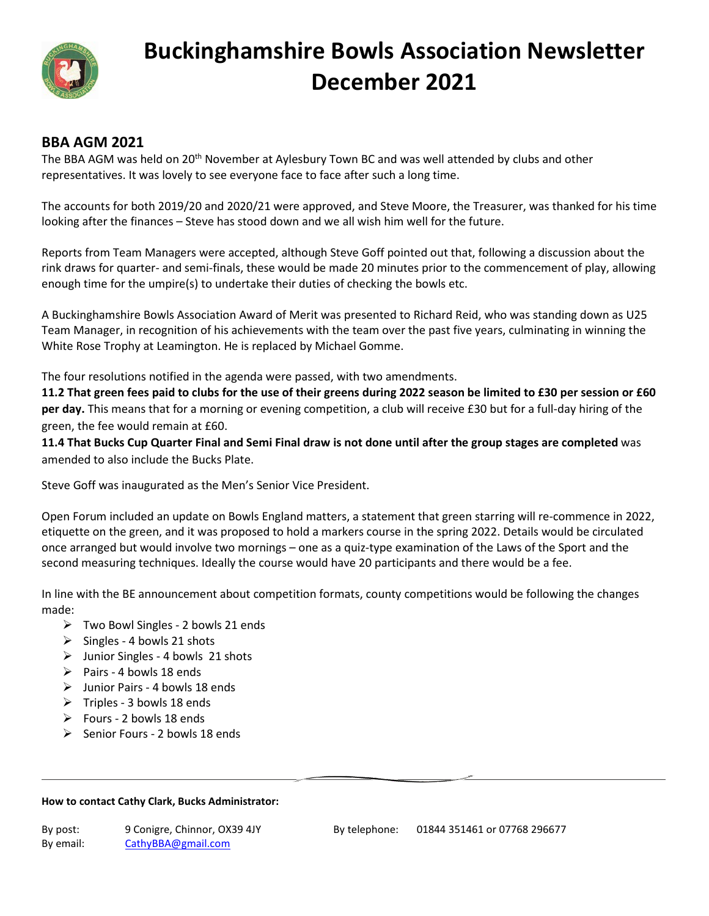

# **Buckinghamshire Bowls Association Newsletter December 2021**

#### **BBA AGM 2021**

The BBA AGM was held on 20<sup>th</sup> November at Aylesbury Town BC and was well attended by clubs and other representatives. It was lovely to see everyone face to face after such a long time.

The accounts for both 2019/20 and 2020/21 were approved, and Steve Moore, the Treasurer, was thanked for his time looking after the finances – Steve has stood down and we all wish him well for the future.

Reports from Team Managers were accepted, although Steve Goff pointed out that, following a discussion about the rink draws for quarter- and semi-finals, these would be made 20 minutes prior to the commencement of play, allowing enough time for the umpire(s) to undertake their duties of checking the bowls etc.

A Buckinghamshire Bowls Association Award of Merit was presented to Richard Reid, who was standing down as U25 Team Manager, in recognition of his achievements with the team over the past five years, culminating in winning the White Rose Trophy at Leamington. He is replaced by Michael Gomme.

The four resolutions notified in the agenda were passed, with two amendments.

**11.2 That green fees paid to clubs for the use of their greens during 2022 season be limited to £30 per session or £60 per day.** This means that for a morning or evening competition, a club will receive £30 but for a full-day hiring of the green, the fee would remain at £60.

**11.4 That Bucks Cup Quarter Final and Semi Final draw is not done until after the group stages are completed** was amended to also include the Bucks Plate.

Steve Goff was inaugurated as the Men's Senior Vice President.

Open Forum included an update on Bowls England matters, a statement that green starring will re-commence in 2022, etiquette on the green, and it was proposed to hold a markers course in the spring 2022. Details would be circulated once arranged but would involve two mornings – one as a quiz-type examination of the Laws of the Sport and the second measuring techniques. Ideally the course would have 20 participants and there would be a fee.

In line with the BE announcement about competition formats, county competitions would be following the changes made:

- $\triangleright$  Two Bowl Singles 2 bowls 21 ends
- $\triangleright$  Singles 4 bowls 21 shots
- $\triangleright$  Junior Singles 4 bowls 21 shots
- $\triangleright$  Pairs 4 bowls 18 ends
- $\triangleright$  Junior Pairs 4 bowls 18 ends
- $\triangleright$  Triples 3 bowls 18 ends
- $\triangleright$  Fours 2 bowls 18 ends
- $\triangleright$  Senior Fours 2 bowls 18 ends

#### **How to contact Cathy Clark, Bucks Administrator:**

| By post:  | 9 Conigre, Chinnor, OX39 4JY |
|-----------|------------------------------|
| By email: | CathyBBA@gmail.com           |